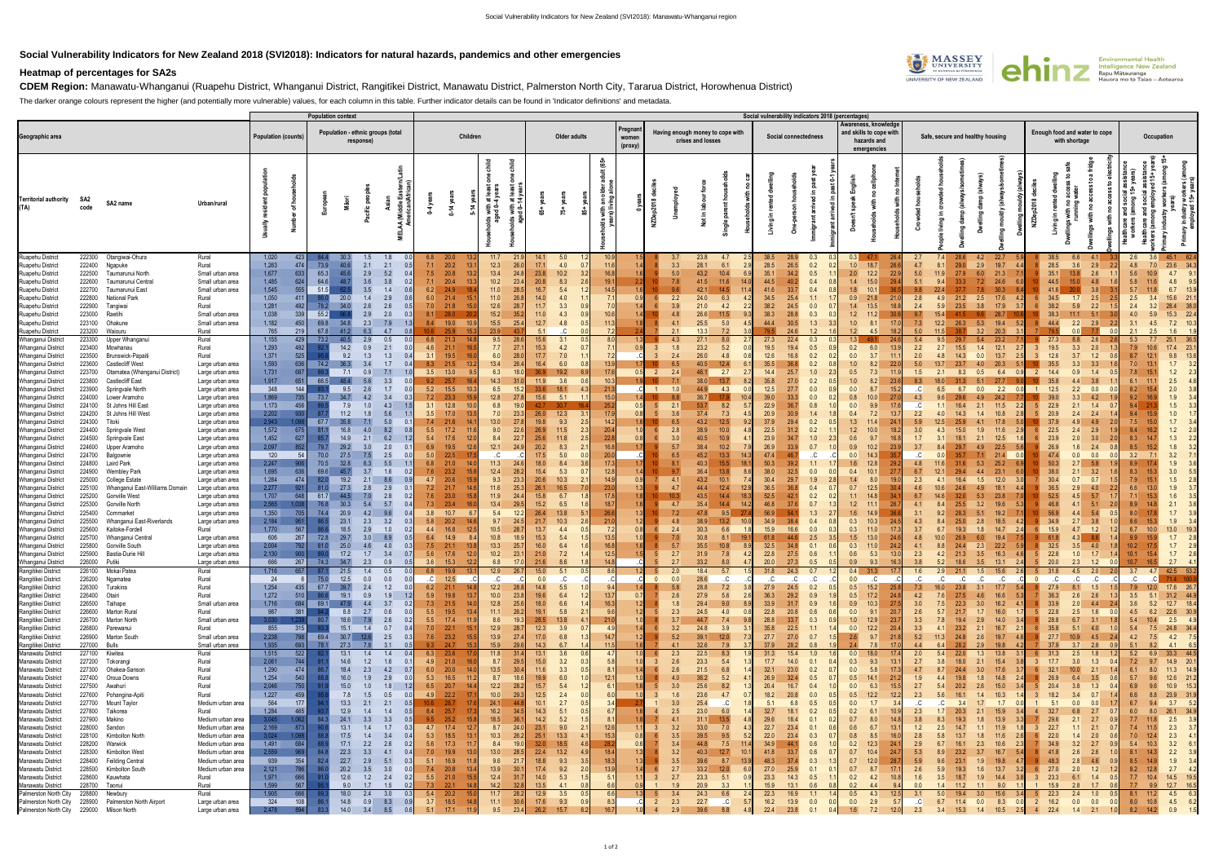## **Social Vulnerability Indicators for New Zealand 2018 (SVI2018): Indicators for natural hazards, pandemics and other emergencies**

## **Heatmap of percentages for SA2s**

**CDEM Region:** Manawatu-Whanganui (Ruapehu District, Whanganui District, Rangitīkei District, Manawatu District, Palmerston North City, Tararua District, Horowhenua District)

The darker orange colours represent the higher (and potentially more vulnerable) values, for each column in this table. Further indicator details can be found in 'Indicator definitions' and metadata.

|                                                                                                                                                                                                                                                       |                                                                                                  |                                                                                                                                                                                                                          |                                                                                                                                                                                  |                                                                                      | <b>Population context</b>                                                   |                                                                        |                                                                                                                                              |                                                                                                                                 |                                                                     |                                                                                                                                                                     |                                                                                                                                                     |                                                                                 |                                                                        |                                                                     |                                      |                |                                 |                                                                                                                                                        | Social vulnerability indicators 2018 (percentages) |                                                                                                                                                                                                                                    |                                                             |                                                                                                |                                                                                                                                  |                                                                      |                                                                                                              |                                                                                                                                                        |                                                                                           |                                                                                                                                                                                                                   |                                                                |                                                                       |                                                                                                                                                                                                                        |
|-------------------------------------------------------------------------------------------------------------------------------------------------------------------------------------------------------------------------------------------------------|--------------------------------------------------------------------------------------------------|--------------------------------------------------------------------------------------------------------------------------------------------------------------------------------------------------------------------------|----------------------------------------------------------------------------------------------------------------------------------------------------------------------------------|--------------------------------------------------------------------------------------|-----------------------------------------------------------------------------|------------------------------------------------------------------------|----------------------------------------------------------------------------------------------------------------------------------------------|---------------------------------------------------------------------------------------------------------------------------------|---------------------------------------------------------------------|---------------------------------------------------------------------------------------------------------------------------------------------------------------------|-----------------------------------------------------------------------------------------------------------------------------------------------------|---------------------------------------------------------------------------------|------------------------------------------------------------------------|---------------------------------------------------------------------|--------------------------------------|----------------|---------------------------------|--------------------------------------------------------------------------------------------------------------------------------------------------------|----------------------------------------------------|------------------------------------------------------------------------------------------------------------------------------------------------------------------------------------------------------------------------------------|-------------------------------------------------------------|------------------------------------------------------------------------------------------------|----------------------------------------------------------------------------------------------------------------------------------|----------------------------------------------------------------------|--------------------------------------------------------------------------------------------------------------|--------------------------------------------------------------------------------------------------------------------------------------------------------|-------------------------------------------------------------------------------------------|-------------------------------------------------------------------------------------------------------------------------------------------------------------------------------------------------------------------|----------------------------------------------------------------|-----------------------------------------------------------------------|------------------------------------------------------------------------------------------------------------------------------------------------------------------------------------------------------------------------|
| Geographic area                                                                                                                                                                                                                                       |                                                                                                  |                                                                                                                                                                                                                          |                                                                                                                                                                                  | <b>Population (counts)</b>                                                           |                                                                             |                                                                        | response)                                                                                                                                    | Population - ethnic groups (total                                                                                               |                                                                     | Children                                                                                                                                                            |                                                                                                                                                     |                                                                                 | Older adults                                                           |                                                                     | Pregnan<br>women<br>(proxy)          |                |                                 | Having enough money to cope with<br>crises and losses                                                                                                  |                                                    | Social connectedness                                                                                                                                                                                                               |                                                             | Awareness, knowledge<br>and skills to cope with<br>hazards and<br>emergencies                  |                                                                                                                                  |                                                                      | Safe, secure and healthy housing                                                                             |                                                                                                                                                        |                                                                                           | Enough food and water to cope<br>with shortage                                                                                                                                                                    |                                                                |                                                                       | Occupation                                                                                                                                                                                                             |
| <b>Territorial authority</b><br>(TA)                                                                                                                                                                                                                  | SA2<br>code                                                                                      | SA2 name                                                                                                                                                                                                                 | Urban/rural                                                                                                                                                                      |                                                                                      | of ho                                                                       |                                                                        |                                                                                                                                              | $d = E$<br>MELAA (Mi<br>Amer                                                                                                    |                                                                     | 0.14y                                                                                                                                                               | with at le<br>ed 0–4 ye<br>ith at<br>L-4                                                                                                            | చ్                                                                              | $\dot{5}$                                                              |                                                                     |                                      |                |                                 | Ξ.                                                                                                                                                     |                                                    | .s<br>- 드                                                                                                                                                                                                                          |                                                             |                                                                                                |                                                                                                                                  |                                                                      |                                                                                                              |                                                                                                                                                        |                                                                                           | - ≅<br>Living                                                                                                                                                                                                     |                                                                |                                                                       |                                                                                                                                                                                                                        |
| Ruapehu District<br>Ruapehu District<br>Ruapehu District<br>Ruapehu District<br>Ruapehu District<br>Ruapehu District<br>Ruapehu District<br>Ruapehu District<br>Ruapehu District<br>Ruapehu District                                                  | 222300<br>222400<br>222500<br>222600<br>222700<br>222800<br>222900<br>223000<br>223100<br>223200 | Otangiwai-Ohura<br>Ngapuke<br>Taumarunui North<br>Taumarunui Central<br>Taumarunui East<br><b>National Park</b><br>Tangiwai<br>Raetihi<br>Ohakune<br>Waiouru                                                             | Rural<br>Rural<br>Small urban area<br>Small urban area<br>Small urban area<br>Rural<br>Rural<br>Small urban area<br>Small urban area<br>Rural                                    | 1,020<br>1,263<br>1,677<br>1,485<br>1,545<br>1,050<br>1,281<br>1,038<br>1,182<br>765 | 423<br>474<br>633<br>624<br>555<br>411 I<br>492<br>339<br>450<br>219        | 73.9<br>65.3<br>64.6<br>51.5<br>-86.01<br>78.2<br>55.2<br>69.8<br>67.8 | 1.5<br>30.3<br>40.6<br>2.1<br>2.9<br>45.6<br>3.6<br>48.7<br>3.5<br>20.0<br>1.4<br>34.0<br>2.6<br>2.9<br>2.3<br>34.8<br>6.3                   | 1.8<br>2.1<br>5.2<br>3.8<br>1.4<br>2.9<br>2.6<br>2.0<br>7.9<br>4.7                                                              | 6.8<br>7.1<br>7.5<br>7.1<br>6.2<br>6.0<br>7.0<br>8.1<br>8.4<br>10.6 | 20.0<br>20.2<br>20.8<br>20.4<br>24.9<br>21.4<br>21.8<br>28.0<br>19.0<br>25.9                                                                                        | 11.7<br>12.3<br>13.4<br>24.8<br>10.2<br>23.4<br>11.0<br>11.0<br>26.8<br>12.6<br>28.<br>15.2<br>35.<br>15.5<br>25.4<br>23.9                          | 14.1<br>17.1<br>23.8<br>20.8<br>16.7<br>$14.0$<br>11.7<br>$11.0$<br>12.7<br>5.1 | 5.0<br>4.0<br>10.2<br>8.3<br>5.4<br>4.0<br>3.3<br>4.3<br>4.8           | 10.9<br>11.6<br>16.8<br>19.1<br>14.5<br>$7^{\circ}$<br>10.6<br>11.3 | 1.6 <sub>1</sub><br>0.9              |                | 5.0<br>2.2<br>4.1               | 23.8<br>4.7<br>28.1<br>6.1<br>43.2<br>10.4<br>41.5<br>11.6<br>42.1<br>24.0<br>6.3<br>21.0<br>4.2<br>26.6<br>11.5<br>5.0<br>25.5<br>13.3<br>7.2         |                                                    | 28.9<br>0.3<br>28.5<br>26.5<br>0.2<br>35.1<br>34.2<br>0.5<br>44.5<br>40.2<br>0.4<br>41.6<br>33.7<br>0.4<br>25.4<br>1.1<br>34.5<br>38.2<br>0.0<br>24.5<br>38.3<br>28.8<br>0.3<br>44.4<br>1.3<br>30.5<br>24.6<br>1.2                 | 2.0<br>1.8<br>0.9<br>1.4<br>1.2                             | 0.3<br>18.7<br>1.0<br>12.2<br>1.4<br>15.0<br>10.1<br>21.8<br>13.5<br>1.2<br>11.2<br>1.0<br>8.1 | 2.7<br>4.7<br>26.6<br>5.0<br>22.9<br>5.1<br>29.4<br>9.8<br>21.0<br>2.8<br>2.4<br>18.<br>9.7<br>30.6<br>7.3<br>17.<br>5.0<br>18   | 7.4<br>8.1<br>11.9<br>9.4<br>4.9<br>5.9<br>15.4<br>12.2              | 28.6<br>29.0<br>2.9<br>27.9<br>33.3<br>21.2<br>3.8<br>23.5<br>26.3<br>5.3                                    | 22.7<br>4.2<br>19.7<br>6.0<br>21.3<br>7.2<br>24.6<br>7.8<br>30.3<br>2.5<br>17.6<br>17.9<br>28.7<br>9.6<br>19.4<br>3.2<br>20.3                          | 4.2                                                                                       | 38.5<br>6.6<br>28.5<br>3.6<br>35.1<br>13.8<br>44.5<br>15.0<br>41.6<br>34.5<br>1.7<br>38.2<br>5.9<br>38.3<br>11.1<br>44.4<br>$2.2$ $2.9$<br>79                                                                     | 4.1<br>2.9<br>2.6<br>4.8<br>3.8<br>2.5<br>2.2<br>$-5.1$        | 2.6<br>4.8<br>5.6<br>5.8<br>5.7<br>2.5<br>2.4<br>4.0<br>3.1<br>2.1    | 3.6<br>45.1<br>62.4<br>23.6<br>34.3<br>7.0<br>4.7<br>10.9<br>4.8<br>6.7<br>15.6<br>28.4<br>22.4<br>15.3<br>5.9<br>7.2<br>4.5                                                                                           |
| Whanganui District<br>Whanganui District<br>Whanganui District<br>Whanganui District<br>Whanganui District<br>Whanganui District<br>Whanganui District<br>Whanganui District<br>Whanganui District<br>Whanganui District                              | 223300<br>223400<br>223500<br>223600<br>223700<br>223800<br>223900<br>224000<br>224100<br>224200 | Upper Whanganui<br>Mowhanau<br>Brunswick-Papaiti<br><b>Castlecliff West</b><br>Otamatea (Whanganui District)<br><b>Castlecliff East</b><br>Springvale North<br>Lower Aramoho<br>St Johns Hill East<br>St Johns Hill West | Rural<br>Rural<br>Rural<br>Large urban area<br>Large urban area<br>Large urban area<br>Large urban area<br>Large urban area<br>Large urban area<br>Large urban area              | 1,155<br>1,293<br>1,371<br>1,593<br>1,731<br>1,917<br>348<br>1,869<br>1,173<br>2,202 | 429<br>492 l<br>525<br>636<br>687<br>651<br>144<br>735<br>456<br>930        | 73.2<br>74.2<br>66.5<br>73.7                                           | 2.9<br>14.2<br>0.9<br>9.2<br>1.3<br>7.1<br>0.9<br>48.4<br>9.5<br>2.6<br>34.7<br>4.2<br>7.9<br>11.2                                           | 0.5<br>2.1<br>1.3<br>1.7<br>7.1<br>3.3<br>1.7<br>3.4<br>4.3<br>5.6                                                              | 6.8<br>4.6<br>3.1<br>8.3<br>3.5<br>9.2<br>5.2<br>7.2<br>3.1<br>3.5  | 21.3<br>21.1<br>19.5<br>21.5<br>13.0<br>25.7<br>15.5<br>23.3<br>12.8<br>17.0                                                                                        | 9.5<br>7.7<br>27.7<br>6.0<br>28.0<br>13.4<br>26.4<br>6.3<br>14.3<br>6.5<br>12.8<br>6.8<br>19.0<br>7.0                                               | 15.6<br>$15.3$<br>17.7<br>16.4<br>36.9<br>11.9<br>33.6<br>15.6<br>42.7<br>26.0  | 3.1<br>4.2<br>7.0<br>6.0<br>19.2<br>3.6<br>18.1<br>5.1<br>12.3         | 13.5<br>17.6<br>10.3<br>21.<br>15.0<br>25.2<br>17.9                 | 0.9 <sub>1</sub><br>0.5<br>0.5       | $\overline{2}$ |                                 | 27.1<br>8.0<br>23.2<br>5.2<br>26.0<br>4.8<br>40.5<br>12.4<br>2.7<br>46.1<br>38.0<br>13.7<br>44.9<br>4.3<br>53.7<br>8.2<br>37.4<br>7.3                  |                                                    | 27.3<br>22.4<br>0.3<br>0.5<br>19.5<br>19.4<br>12.6<br>16.8<br>0.2<br>35.5<br>0.2<br>36.8<br>25.7<br>1.0<br>14.4<br>35.8<br>27.0<br>0.2<br>12.5<br>27.7<br>0.0<br>39.0<br>33.3<br>0.0<br>22.9<br>36.7<br>0.8<br>20.9<br>1.4<br>30.9 | 0.2<br>0.0<br>1.0<br>0.5<br>1.0<br>0.0<br>0.8<br>0.0<br>0.4 | -24<br>6.0<br>3.7<br>8.2<br>7.3<br>8.2<br>8.7<br>9.9                                           | 5.4<br>2.2<br>13.<br>2.0<br>11<br>5.0<br>22.<br>1.5<br>23.6<br>8.3<br>15.<br>C<br>27.<br>4.3<br>C<br>2.2<br>13.                  | 9.5<br>2.7<br>4.8<br>2.1<br>6.5<br>4.0                               | 15.5<br>14.3<br>8.3<br>6.7<br>16.4<br>14.3                                                                   | 1.4<br>12.1<br>0.0<br>13.7<br>20.3<br>4.0<br>0.5<br>6.4<br>2.2<br>0.0<br>2.1<br>11.5<br>1.4<br>10.8                                                    | 2.7<br>0.0<br>2.2                                                                         | 27.3<br>8.8<br>19.5<br>3.3<br>12.6<br>3.7<br>3.3<br>35.5<br>0.9<br>14.4<br>4.4<br>2.2<br>12.5<br>3.3<br>22.9<br>2.1<br>20.5<br>2.4                                                                                | 2.6<br>2.0<br>1.2<br>3.3<br>1.4<br>0.0<br>4.2<br>1.4<br>2.4    | 5.3<br>7.9<br>8.7<br>7.0<br>7.8<br>6.1<br>8.2<br>9.2<br>9.4<br>9.4    | 25.1<br>17.4<br>23.<br>10.6<br>9.8<br>12.1<br>1.7<br>1.2<br>2.5<br>2.0<br>1.9<br>1.5<br>1.0                                                                                                                            |
| Whanganui District<br>Whanganui District<br>Whanganui District<br>Whanganui District<br>Whanganui District<br>Whanganui District<br>Whanganui District<br>Whanganui District<br>Whanganui District                                                    | 224300<br>224400<br>224500<br>224600<br>224700<br>224800<br>224900<br>225000<br>225100           | Titoki<br>Springvale West<br>Springvale East<br>Upper Aramoho<br>Balgownie<br>Laird Park<br>Wembley Park<br>College Estate<br>Whanganui East-Williams Domain                                                             | Large urban area<br>Large urban area<br>Large urban area<br>Large urban area<br>Large urban area<br>Large urban area<br>Large urban area<br>Large urban area<br>Large urban area | 2,943<br>1,572<br>1,452<br>2,097<br>120<br>2,247<br>1,695<br>1,284<br>2,277          | 675<br>627<br>852<br>54<br>906<br>636<br>474<br>921                         | 67.7<br>- 81.1<br>79.7<br>70.0<br>70.5<br>69.6<br>82.0                 | 35.8<br>16.8<br>14.9<br>29.2<br>3.0<br>27.5<br>32.8<br>3.7<br>45.7<br>2.1<br>19.2<br>27.3<br>2.8                                             | 5.0<br>- 0<br>8.2<br>6.2<br>2.0<br>2.5<br>5.5<br>1.6<br>$\Omega$<br>8.6<br>2.9                                                  | 7.4<br>5.5<br>5.4<br>6.9<br>5.0<br>6.8<br>7.6<br>4.7<br>7.2         | 21.6<br>17.2<br>17.6<br>19.5<br>22.5<br>21.0<br>23.2<br>20.6<br>21.7                                                                                                | 13.0<br>9.0<br>22.6<br>8.4<br>22.<br>12.1<br>C<br>11.3<br>12.4<br>9.3<br>11.6<br>25.3                                                               | 19.8<br>26.9<br>25.6<br>20.2<br>17.5<br>18.0<br>15.4<br>20.6<br>26.1            | 9.3<br>11.5<br>11.8<br>8.3<br>5.0<br>8.4<br>5.3<br>10.3<br>16.5        | 14.2<br>20.4<br>22.8<br>16.8<br>20.<br>17.3<br>12.8<br>14.9<br>23.0 | 0.9                                  |                |                                 | 43.2<br>12.5<br>38.9<br>10.0<br>40.5<br>10.9<br>38.4<br>10.2<br>45.2<br>13.3<br>40.3<br>15.5<br>36.4<br>13.8<br>43.2<br>10.1<br>44.4<br>12.4           |                                                    | 37.9<br>0.2<br>29.4<br>22.5<br>31.2<br>0.2<br>23.9<br>1.0<br>34.7<br>26.9<br>33.9<br>0.7<br>47.4<br>46.<br>C<br>1.1<br>50.3<br>39.2<br>38.0<br>32.5<br>0.0<br>30.4<br>29.7<br>1.9<br>36.5<br>36.8<br>0.4                           | 1.3<br>0.6<br>0.9<br>0.0<br>0.4<br>1.4<br>0.7               | 11.4<br>1.2<br>10.0<br>10.2<br>12.8<br>10.1<br>8.0<br>12.5                                     | 5.9<br>24.<br>3.0<br>18.<br>1.7<br>23.9<br>3.7<br>C<br>4.8<br>29.2<br>6.7<br>27.<br>2.3<br>4.6<br>-30.                           | 31<br>10.6                                                           | 4.1<br>2.1<br>18.<br>29.7<br>29.4<br>16.4                                                                    | 17.8<br>1.9<br>11.6<br>12.5<br>4.9<br>22.5<br>21.4<br>7.1<br>0.0<br>5.3<br>25.2<br>4.4<br>23.1<br>1.5<br>12.0<br>18.1<br>4.9                           |                                                                                           | 37.9<br>4.9<br>22.5<br>2.4<br>23.9<br>2.0<br>26.9<br>1.6<br>47.4<br>0.0<br>50.5<br>2.7<br>38.0<br>2.1<br>30.4<br>0.7<br>36.5<br>2.9                                                                               | 4.9<br>2.9<br>3.0<br>2.4<br>0.0<br>5.8<br>3.2<br>0.7<br>4.0    | 7.5<br>9.4<br>8.3<br>8.5<br>3.2<br>8.9<br>8.3<br>7.9<br>6.6           | 1.7<br>1.3<br>1.8<br>3.2<br>1.9<br>3.0<br>1.5<br>1.9                                                                                                                                                                   |
| Whanganui District<br>Whanganui District<br>Whanganui District<br>Whanganui District<br>Whanganui District<br>Whanganui District<br>Whanganui District<br>Whanganui District<br>Whanganui District<br>Rangitikei District                             | 225200<br>225300<br>225400<br>225500<br>225600<br>225700<br>225800<br>225900<br>226100           | <b>Gonville West</b><br>Gonville North<br>Cornmarket<br>Whanganui East-Riverlands<br>Kaitoke-Fordell<br>Whanganui Central<br>Gonville South<br>Bastia-Durie Hill<br>226000 Putiki<br>Mokai Patea                         | Large urban area<br>Large urban area<br>Large urban area<br>Large urban area<br>Rural<br>Large urban area<br>Large urban area<br>Large urban area<br>Large urban area<br>Rural   | 1,707<br>2,565<br>1,350<br>2,184<br>1,770<br>606<br>2,004<br>2,130<br>666<br>1.716   | 648<br>705<br>951<br>567<br>267<br>792<br>900<br>267<br>657                 | 61.7<br>76.8<br>74.4<br>72.8<br>74.3                                   | 44.5<br>7.0<br>30.3<br>5.4<br>20.9<br>23.1<br>2.3<br>18.5<br>2.9<br>29.7<br>3.0<br>25.0<br>4.6<br>17.2<br>1.7<br>34.7<br>2.3<br>21.5<br>1.4  | 2.8<br>$\Omega$<br>5.7<br>9.6<br>3.2<br>1.0<br>8.9<br>4.0<br>3.4<br>0.9<br>0.5                                                  | 7.6<br>7.3<br>3.8<br>5.8<br>4.4<br>6.4<br>7.5<br>5.6<br>3.6<br>6.8  | 23.0<br>23.4<br>10.7<br>20.2<br>16.8<br>14.9<br>21.1<br>17.6<br>15.3<br>19.9                                                                                        | 11.9<br>13.4<br>5.4<br>9.7<br>10.5<br>10.8<br>13.3<br>25.<br>10.2<br>23.7<br>6.8<br>12.9<br>26.7                                                    | 15.8<br>15.2<br>26.4<br>21.7<br>13.7<br>15.3<br>16.0<br>21.0<br>21.6<br>15.0    | 6.7<br>6.5<br>13.8<br>10.3<br>4.4<br>5.4<br>6.4<br>7.2<br>8.6<br>5.1   | 17.8<br>18.7<br>26.6<br>21.0<br>-7.2<br>13.5<br>16.8<br>12.5<br>8.6 | 1.8<br>1.6 <sub>1</sub><br>1.2<br>08 |                | 10<br>$\overline{4}$<br>-2.7    | 43.5<br>14.4<br>35.4<br>14.4<br>47.8<br>9.5<br>38.9<br>13.2<br>30.3<br>6.6<br>30.8<br>8.1<br>35.5<br>10.8<br>31.9<br>7.8<br>33.2<br>8.0<br>18.4<br>5.7 |                                                    | 52.5<br>0.2<br>42.1<br>46.8<br>37.6<br>0.7<br>1.3<br>56.9<br>54.<br>34.9<br>38.4<br>0.4<br>0.0<br>15.9<br>16.6<br>2.5<br>61.8<br>32.5<br>34.8<br>0.1<br>27.5<br>22.8<br>0.6<br>20.0<br>27.3<br>0.5<br>31.8<br>24.3<br>0.7          | 1.1<br>1.6<br>0.3<br>0.3<br>1.5<br>0.3<br>0.6<br>0.9<br>0.4 | 14.8<br>1.2<br>11.1<br>10.3<br>11.0<br>13.0<br>11.0<br>5.3<br>9.3<br>31.3                      | 6.7<br>34.<br>4.1<br>26.<br>3.1<br>-36.<br>4.3<br>24.<br>3.7<br>4.8<br>-24.<br>4.1<br>24.2<br>2.3<br>3.8<br>16:<br>1.6<br>17.    | 8.4<br>9.2<br>10.0<br>8.8<br>4.2<br>5.2<br>2.9                       | 32.0<br>25.5<br>28.3<br>25.0<br>26.9<br>24.4<br>21.3<br>3.5<br>18.6<br>21.1                                  | 5.3<br>23.8<br>3.2<br>19.6<br>5.1<br>19.2<br>2.8<br>18.5<br>1.8<br>14.7<br>6.0<br>19.4<br>2.3<br>22.2<br>3.5<br>16.3<br>13.1<br>2.4<br>1.5<br>15.6     | 2.6                                                                                       | 52.5<br>4.5<br>46.8<br>4.1<br>56.9<br>4.4<br>2.7<br>34.9<br>15.9<br>4.7<br>-61<br>4.3<br>32.5<br>$3.5$ 4.0<br>22.8<br>1.0<br>20.0<br>2.3<br>31.8<br>4.5                                                           | 5.7<br>$-5.1$<br>5.4<br>3.8<br>1.2<br>8.6<br>1.7<br>1.2<br>2.0 | 7.1<br>8.9<br>8.0<br>8.6<br>6.7<br>9.9<br>10.2<br>10.1<br>10.7<br>3.7 | 1.6<br>2.1<br>1.7<br>1.9<br>13.0<br>1.7<br>1.7<br>2.6<br>1.7<br>2.7<br>42.5<br>4.7                                                                                                                                     |
| Rangitikei District<br>Rangitikei District<br>Rangitikei District<br>Rangitikei District<br>Rangitikei District<br>Rangitikei District<br>Rangitikei District<br>Rangitikei District<br>Rangitikei District<br>Manawatu District                      | 226200                                                                                           | Ngamatea<br>226300 Turakina<br>226400 Otairi<br>226500 Taihape<br>226600 Marton Rural<br>226700 Marton North<br>226800 Parewanui<br>226900 Marton South<br>227000 Bulls<br>227100 Kiwitea                                | Rural<br>Rural<br>Rural<br>Small urban area<br>Rural<br>Small urban area<br>Rural<br>Small urban area<br>Small urban area<br>Rural                                               | -24<br>1,254<br>1,272<br>1,716<br>987<br>3,030<br>855<br>2,238<br>1,935<br>1,515     | 435<br>510<br>684<br>381<br>315<br><b>798</b><br>693<br>522                 | 67.7<br>69.1 47.9<br>80.7<br>69.4<br>78.1                              | 12.5<br>0.0<br>2.4<br>39.7<br>19.1<br>0.9<br>4.4<br>8.8<br>2.7<br>18.6<br>7.9<br>15.1<br>1.4<br>30.7<br>- 12.6<br>27.3<br>7.8<br>13.1<br>1.4 | 0.0<br>1.2<br>1.9<br>3.7<br>0.6<br>2.6<br>0.7<br>2.5<br>$\overline{0}$ .<br>3.1<br>$\overline{0}$<br>1.4                        | .C.<br>9.3<br>6.3                                                   | 12.5<br>$6.2$ 21.1<br>5.9 19.8<br>$-13.7$<br>$7.3$ 21.5<br>5.5 19.5<br>13.4<br>5.5 17.4<br>$7.0$ 22.1<br>15.1<br>$7.6$ 23.2<br>15.5<br>24.7<br>23.6                 | C<br>12.2<br>10.0<br>23.8<br>12.8<br>25.6<br>11.1<br>26.2<br>8.6<br>19.3<br>12.9<br>13.9<br>27.4<br>15.9<br>29.6<br>11.8                            | 0.0<br>14.8<br>19.6<br>18.0<br>19.1<br>28.5<br>12.3<br>$17.0$<br>14.3<br>13.1   | C<br>5.5<br>6.4<br>6.6<br>5.8<br>13.8<br>3.9<br>6.8<br>6.7<br>3.6      | 13.7<br>16.3<br>9.6<br>21.0<br>4.9<br>14.<br>11.5<br>4.             | 0.7                                  |                | 2.3<br>3.2<br>5.2               | 28.6<br>C<br>28.8<br>7.2<br>5.6<br>27.9<br>29.4<br>9.0<br>24.5<br>4.0<br>44.7<br>7.4<br>24.8<br>3.9<br>39.1<br>12.0<br>32.6<br>7.9<br>22.5<br>8.3      |                                                    | C<br>C<br>C<br>0.2<br>27.9<br>24.5<br>36.3<br>29.2<br>0.9<br>33.9<br>31.7<br>0.9<br>22.8<br>20.8<br>0.6<br>28.8<br>33.7<br>0.3<br>35.8<br>22.5<br>1.1<br>27.7<br>27.0<br>0.7<br>37.9<br>0.8<br>28.2<br>1.0<br>31.3<br>15.4         | 0.0<br>0.0<br>1.0<br>0.0<br>2.6<br>2.4<br>0.0               | C<br>$0.5$ 15.2<br>$0.5$ 17.2<br>$0.9$ 10.3<br>9.1<br>12.9<br>12.2<br>9.7<br>7.8<br>18.0       | C<br>7.3<br>25.8<br>4.2<br>24.8<br>3.0<br>27.5<br>20.7<br>2.6<br>3.3<br>23.7<br>3.3<br>20.4<br>5.2<br>21.8<br>17.0<br>4.4<br>2.0 | .C.<br>16.0<br>7.6<br>7.5<br>5.7<br>7.8<br>4.1<br>11.3<br>6.4<br>5.4 | C<br>3.1<br>23.8<br>27.5<br>3.0<br>22.3<br>21.7<br>2.9<br>19.4<br>2.1<br>23.2<br>24.8<br>2.9<br>28.2<br>22.0 | C<br>C<br>17.7<br>4.6<br>16.6<br>16.2<br>4.1<br>1.7<br>16.0<br>14.0<br>16.7<br>2.1<br>2.6<br>19.7<br>19.8<br>4.2<br>1.3<br>13.8                        | $\overline{0}$<br>5.41<br>5.3<br>1.71<br>3.4                                              | .C<br>C<br>27.9<br>8.1<br>36.3<br>$2.6\qquad 2.6$<br>33.9<br>$2.0\qquad 4.4$<br>22.8<br>$2.5$ 1.6<br>28.8<br>$6.7$ $3.1$<br>35.8<br>$5.1\quad 4.0$<br>27.7<br>$10.9$ 4.5<br>$3.7\quad 2.8$<br>37.9<br>2.5<br>31.3 | $\mathsf{C}$<br>1.5<br>1.8                                     | C<br>3.6<br>4.5<br>5.4<br>5.4<br>4.2<br>5.1<br>5.2                    | $71.4$ 100.0<br>$\mathsf{C} \mathsf{C}$<br>7.9 12.0 17.6 26.7<br>3.5 5.1 31.2 44.9<br>5.2 12.7 18.4<br>6.2 22.6 30.9<br>$10.4$ 2.5 4.9<br>7.5 24.8 34.4<br>$7.5$ 4.2 7.5<br>8.2<br>$4.1\qquad 6.5$<br>33.3 44.5<br>6.9 |
| Manawatu District<br>Manawatu District<br>Manawatu District<br>Manawatu District<br>Manawatu District<br>Manawatu District<br>Manawatu District<br>Manawatu District<br>Manawatu District                                                             | 227700<br>228000                                                                                 | 227200 Tokorangi<br>227300 Ohakea-Sanson<br>227400 Oroua Downs<br>227500 Awahuri<br>227600 Pohangina-Apiti<br>Mount Taylor<br>227800 Taikorea<br>227900 Makino<br>Sandon                                                 | Rural<br>Rural<br>Rural<br>Rural<br>Rural<br>Medium urban area<br>Rural<br>Medium urban area<br>Medium urban area                                                                | 2,061<br>1,290<br>1,254<br>2,046<br>1,227<br>564<br>1,284<br>3,045<br>2,169          | 744<br>474<br>540<br>750<br>459<br>177<br>465<br>1,062<br>873               |                                                                        | 14.6<br>1.2<br>18.4<br>2.3<br>16.0<br>1.9<br>15.0<br>1.0<br>7.8<br>1.5<br>13.3<br>2.1<br>12.9<br>1.4<br>24.1<br>3.3<br>13.1<br>1.4           | 1.6<br>- 0<br>4.2<br>- 0.<br>2.9<br>1.8<br>0.5<br>2.1<br>0.5<br>1.4<br>3.3<br>0.5<br>1.7                                        | 10.6                                                                | $4.9$ 21.0<br>$6.0\qquad 20.0$<br>14.0<br>$5.3$ 16.5<br>$6.5$ 20.7<br>$4.9$ 22.2<br>28.7<br>8.4 25.7 17.3<br>$9.5$ 25.2<br>15.8<br>$4.7$ $17.4$<br>$-12.7$          | 8.7<br>29.5<br>13.5<br>30.4<br>8.7<br>12.2<br>28.2<br>10.0<br>29.3<br>24.1<br>16.2<br>18.5<br>8.7<br>24.0                                           | 15.0<br>11.6<br>19.9<br>15.7<br>$12.5$<br>10.1<br>14.3<br>$14.2$<br>23.1        | 3.2<br>3.3<br>6.0<br>5.4<br>2.4<br>2.7<br>5.1<br>5.2<br>9.0            | 5.8<br>8.1<br>12.1<br>6.1<br>6.0<br>3.4<br>6.7<br>8.1<br>12.6       | 1.0<br>1.4                           |                | 2.6                             | 23.3<br>5.4<br>21.5<br>6.8<br>36.2<br>5.2<br>25.6<br>8.2<br>23.6<br>4.7<br>25.4<br>C<br>23.0<br>6.0<br>31.1<br>13.5<br>33.0<br>7.0                     |                                                    | 17.7<br>14.0<br>0.1<br>32.1<br>23.0<br>0.2<br>26.9<br>32.4<br>0.5<br>16.7<br>20.4<br>0.4<br>18.2<br>20.8<br>0.0<br>5.1<br>6.8<br>0.5<br>0.2<br>32.7<br>18.1<br>29.6<br>18.4<br>0.1<br>22.7<br>23.4<br>0.1                          | 0.3<br>0.5<br>0.0<br>0.0<br>0.2<br>0.7<br>0.6               | 9.3<br>0.0 5.8<br>14.1<br>6.3<br>$0.5$ 12.2<br>1.7<br>6.1<br>8.0<br>6.7                        | 2.7<br>13.7<br>4.7<br>17.3<br>1.9<br>21.2<br>2.7<br>15.5<br>12.2<br>2.3<br>C<br>2.3<br>10.9<br>3.8<br>14.8<br>1.2<br>13.7        | 3.8<br>8.7<br>4.4<br>5.4<br>C<br>2.5                                 | 18.0<br>2.1<br>24.4<br>19.8<br>20.2<br>-3.4<br>20.3<br>19.3<br>14.7                                          | 15.4<br>3.0<br>17.6<br>1.8<br>14.8<br>2.6<br>15.0<br>10.3<br>1.4<br>1.7<br>1.7<br>0.0<br>2.1<br>15.9<br>1.8<br>13.9<br>1.1<br>11.9                     | 3.8<br>3.7<br>3.4<br>3.31                                                                 | 17.7<br>3.0<br>32.1<br>10.0<br>26.9<br>6.4<br>20.4<br>3.8<br>18.2<br>3.4<br>0.0<br>5.1<br>32.7<br>6.8<br>29.6<br>2.1<br>22.7<br>1.1                                                                               | 1.3<br>2.1<br>3.5<br>1.3<br>0.7<br>0.0<br>2.7<br>2.7<br>2.1    | 7.2<br>6.1<br>5.7<br>6.9<br>6.6<br>6.7<br>6.0<br>7.7<br>7.4           | 9.7 14.9 20.1<br>11.3 14.9<br>8.0<br>12.6 21.2<br>9.6<br>10.9 15.3<br>9.6<br>23.9 31.9<br>8.8<br>$3.7$ $5.2$<br>9.4<br>26.1 34.9<br>8.0<br>$2.5$ $3.9$<br>11.8<br>$2.3$ $3.7$<br>1.5 <sup>1</sup>                      |
| Manawatu District<br>Manawatu District<br>Manawatu District<br>Manawatu District<br>Manawatu District<br>Manawatu District<br>Manawatu District<br>Palmerston North City<br>Palmerston North City 228900<br>Palmerston North City 229000 Milson North | 228800                                                                                           | 228100 Kimbolton North<br>228200 Warwick<br>228300 Kimbolton West<br>228400 Feilding Central<br>228500 Kimbolton South<br>228600 Kauwhata<br>228700 Taonui<br>Newbury<br>Palmerston North Airport                        | Medium urban area<br>Medium urban area<br>Medium urban area<br>Medium urban area<br>Medium urban area<br>Rural<br>Rural<br>Rural<br>Large urban area<br>Large urban area         | 3,024<br>1,491<br>2,559<br>939<br>2,121<br>1,971<br>1,599<br>1,905<br>324<br>2,478   | 1.098<br>684<br>969<br>354<br><b>786</b><br>666<br>567<br>666<br>108<br>894 | 82.4                                                                   | 17.5<br>1.4<br>17.1<br>2.2<br>22.3<br>3.3<br>22.7<br>2.9<br>20.2<br>3.5<br>12.6<br>1.2<br>9.0<br>1.7<br>18.0<br>2.4<br>14.8<br>14.0          | 3.4<br>2.6<br>4.1<br>0.4<br>5.1<br>3.0<br>0.0<br>2.4<br>0.2<br>1.5<br>$\Omega$<br>3.0<br>$0.9$ 8.3<br>0.9<br>$3.4$ $8.5$<br>0.6 |                                                                     | 5.3 18.5 13.1<br>5.6 17.3<br>7.0 19.9<br>- 13.01<br>$5.1$ 16.9<br>7.4 20.8<br>13.4<br>5.5 21.0 15.5<br>$7.3$ 22.1<br>$5.4$ 20.2<br>$3.7$ 18.5<br>14.8<br>$5.1$ 17.1 | 10.3<br>26.2<br>8.4<br>19.0<br>13.0<br>28.5<br>9.6<br>13.9<br>30.1<br>12.4<br>- 31.7<br>14.2<br>32.8<br>28.2<br>11.7<br>11.1<br>30.6<br>9.5<br>23.4 | 25.1<br>32.0<br>22.4<br>18.8<br>17.4<br>14.0<br>$13.5$<br>12.9<br>17.6<br>26.2  | 13.3<br>18.5<br>13.2<br>9.3<br>9.2<br>5.3<br>4.1<br>3.5<br>9.3<br>15.7 | 15.3<br>28.2<br>18.4<br>18.3<br>13.9<br>$-5.1$<br>6 f<br>6.6<br>16. | 0.8<br>0.6<br>1.3<br>1.4             |                | 2.7<br>2.7<br>3.4<br>2.3<br>2.9 | 39.5<br>9.5<br>44.8<br>7.5<br>40.3<br>12.7<br>8.7<br>39.6<br>33.2<br>12.0<br>23.3<br>5.1<br>20.9<br>3.3<br>24.3<br>6.6<br>22.7<br>.C<br>39.6 8.8       | 11.4<br>13.9<br>6.0<br>5.7<br>4.8                  | 22.0<br>0.3<br>23.4<br>34.9<br>44.1<br>0.6<br>33.7<br>0.6<br>41.8<br>48.3<br>37.4<br>0.3<br>25.9<br>27.0<br>0.1<br>23.3<br>14.3<br>0.5<br>15.9<br>13.1<br>0.6<br>22.3<br>16.9<br>1.1<br>16.2<br>$13.9\qquad 0.0$<br>22.4 23.8 0.1  | 0.8<br>0.2<br>0.7<br>0.7<br>0.7<br>0.2<br>0.2<br>0.5<br>0.0 | 8.5<br>12.3<br>10.4<br>12.0<br>8.7<br>4.2<br>4.4<br>4.3<br>0.0 2.9<br>$1.6$ $7.2$ $12.0$       | 2.8<br>16.0<br>2.9<br>24.1<br>5.3<br>24.7<br>5.9<br>28.7<br>2.6<br>17.1<br>1.6<br>10.8<br>0.0<br>12.5<br>3.1<br>.C<br>$-5.7$     | 5.8<br>8.9<br>9.6<br>5.9<br>3.5<br>1.4<br>5.0<br>6.7                 | 2.3<br>16.1<br>23.2<br>23.1<br>19.3<br>18.7<br>11.2<br>19.4<br>$11.4$ 0.0                                    | 1.8<br>11.6<br>10.6<br>3.7<br>16.7<br>1.9<br>19.8<br>47<br>1.6<br>13.7<br>1.9<br>14.4<br>9.0<br>1.1<br>3.0<br>15.6<br>8.3<br>2.3 3.4 15.3 1.4 10.5 2.5 | <b>2.6</b><br>2.3<br>5.4<br>3.2<br>- 61<br>3.8<br>3 <sup>1</sup><br>$\overline{1}$<br>0.0 | 22.0<br>$1.4\qquad 2.0$<br>34.9<br>$3.2\qquad 2.7$<br>2.6<br>41.8<br>48.3<br>$2.8$ 4.6<br>27.0<br>2.0<br>23.3<br>6.1<br>15.9<br>2.8<br>22.3<br>$2.4$ 1.0<br>$2 \t 16.2$<br>0.0 0.0<br>4 22.4 1.4 2.1              | 2.6<br>1.2<br>1.4<br>1.7                                       | 7.0<br>5.4<br>8.1<br>8.5<br>8.2<br>8.1 11.2                           | $2.3$ 4.1<br>12.4<br>$3.2\qquad 6.1$<br>10.3<br>$2.2$ $3.9$<br>$1.9$ $3.4$<br>14.9<br>$2.7$ 4.2<br>12.8<br>7.7 10.4 14.5 19.5<br>7.7 9.9 12.7 16.5<br>4.5 6.3<br>8.0 10.8 4.5 6.2<br>8.2 14.2 0.9 1.5                  |